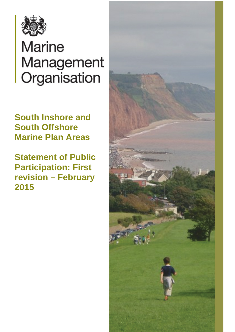

# **Marine** Management Organisation

**South Inshore and South Offshore Marine Plan Areas**

**Statement of Public Participation: First revision – February 2015**

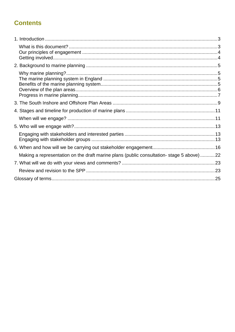# **Contents**

| Making a representation on the draft marine plans (public consultation-stage 5 above)22 |  |
|-----------------------------------------------------------------------------------------|--|
|                                                                                         |  |
|                                                                                         |  |
|                                                                                         |  |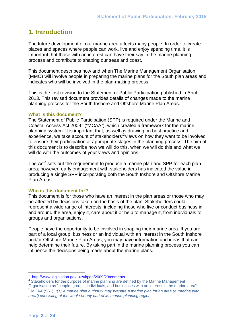## <span id="page-2-0"></span>**1. Introduction**

The future development of our marine area affects many people. In order to create places and spaces where people can work, live and enjoy spending time, it is important that those with an interest can have their say in the marine planning process and contribute to shaping our seas and coast.

This document describes how and when The Marine Management Organisation (MMO) will involve people in preparing the marine plans for the South plan areas and indicates who will be involved in the plan-making process.

This is the first revision to the Statement of Public Participation published in April 2013. This revised document provides details of changes made to the marine planning process for the South Inshore and Offshore Marine Plan Areas.

#### <span id="page-2-1"></span>**What is this document?**

The Statement of Public Participation (SPP) is required under the Marine and Coastal Access Act 2009<sup>[1](#page-2-2)</sup> ("MCAA"), which created a framework for the marine planning system. It is important that, as well as drawing on best practice and experience, we take account of stakeholders<sup>'[2](#page-2-3)</sup> views on how they want to be involved to ensure their participation at appropriate stages in the planning process. The aim of this document is to describe how we will do this, when we will do this and what we will do with the outcomes of your views and opinions.

The Act<sup>[3](#page-2-4)</sup> sets out the requirement to produce a marine plan and SPP for each plan area; however, early engagement with stakeholders has indicated the value in producing a single SPP incorporating both the South Inshore and Offshore Marine Plan Areas.

#### **Who is this document for?**

This document is for those who have an interest in the plan areas or those who may be affected by decisions taken on the basis of the plan. Stakeholders could represent a wide range of interests, including those who live or conduct business in and around the area, enjoy it, care about it or help to manage it, from individuals to groups and organisations.

People have the opportunity to be involved in shaping their marine area. If you are part of a local group, business or an individual with an interest in the South Inshore and/or Offshore Marine Plan Areas, you may have information and ideas that can help determine their future. By taking part in the marine planning process you can influence the decisions being made about the marine plans.

 $\overline{a}$ 

<span id="page-2-2"></span> $\frac{1}{2}$  <http://www.legislation.gov.uk/ukpga/2009/23/contents><br> $\frac{1}{2}$  Stakeholders for the purpose of marine planning are defined by the Marine Management

<span id="page-2-3"></span>Organisation as "people, groups, individuals, and businesses with an interest in the marine area".

<span id="page-2-4"></span><sup>3</sup> MCAA (S51): *"(1) A marine plan authority may prepare a marine plan for an area (a "marine plan area") consisting of the whole or any part of its marine planning region.*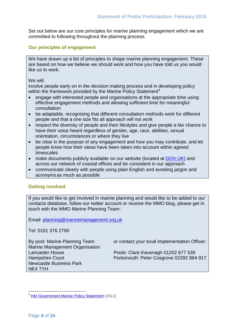Set out below are our core principles for marine planning engagement which we are committed to following throughout the planning process.

## <span id="page-3-0"></span>**Our principles of engagement**

We have drawn up a list of principles to shape marine planning engagement. These are based on how we believe we should work and how you have told us you would like us to work.

We will:

involve people early on in the decision making process and in developing policy within the framework provided by the Marine Policy Statement<sup>[4](#page-3-2)</sup>

- engage with interested people and organisations at the appropriate time using effective engagement methods and allowing sufficient time for meaningful consultation
- be adaptable, recognising that different consultation methods work for different people and that a one size fits all approach will not work
- respect the diversity of people and their lifestyles and give people a fair chance to have their voice heard regardless of gender, age, race, abilities, sexual orientation, circumstances or where they live
- be clear in the purpose of any engagement and how you may contribute, and let people know how their views have been taken into account within agreed timescales
- make documents publicly available on our website (located at GOV, UK) and across our network of coastal offices and be consistent in our approach
- communicate clearly with people using plain English and avoiding jargon and acronyms as much as possible

## <span id="page-3-1"></span>**Getting involved**

If you would like to get involved in marine planning and would like to be added to our contacts database, follow our twitter account or receive the MMO blog, please get in touch with the MMO Marine Planning Team:

Email: [planning@marinemanagement.org.uk](mailto:planning@marinemanagement.org.uk)

Tel: 0191 376 2790

Marine Management Organisation Newcastle Business Park NE4 7YH

By post: Marine Planning Team or contact your local Implementation Officer:

Lancaster House **Poole: Clare Kavanagh 01202 677 539** Hampshire Court **Portsmouth: Peter Cosgrove 02392 864 917** 

<span id="page-3-2"></span><sup>&</sup>lt;sup>4</sup> HM Government [Marine Policy Statement](http://www.defra.gov.uk/publications/files/pb3654-marine-policy-statement-110316.pdf) (2011)  $\overline{a}$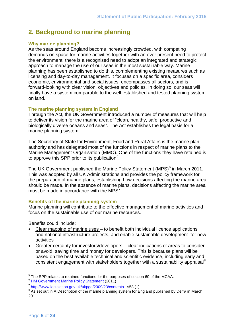# <span id="page-4-0"></span>**2. Background to marine planning**

#### <span id="page-4-1"></span>**Why marine planning?**

As the seas around England become increasingly crowded, with competing demands on space for marine activities together with an ever present need to protect the environment, there is a recognised need to adopt an integrated and strategic approach to manage the use of our seas in the most sustainable way. Marine planning has been established to do this, complementing existing measures such as licensing and day-to-day management. It focuses on a specific area, considers economic, environmental and social issues, encompasses all sectors, and is forward-looking with clear vision, objectives and policies. In doing so, our seas will finally have a system comparable to the well-established and tested planning system on land.

#### <span id="page-4-2"></span>**The marine planning system in England**

Through the Act, the UK Government introduced a number of measures that will help to deliver its vision for the marine area of "clean, healthy, safe, productive and biologically diverse oceans and seas". The Act establishes the legal basis for a marine planning system.

The Secretary of State for Environment, Food and Rural Affairs is the marine plan authority and has delegated most of the functions in respect of marine plans to the Marine Management Organisation (MMO). One of the functions they have retained is to approve this SPP prior to its publication<sup>[5](#page-4-4)</sup>.

The UK Government published the Marine Policy Statement (MPS)<sup>[6](#page-4-5)</sup> in March 2011. This was adopted by all UK Administrations and provides the policy framework for the preparation of marine plans, establishing how decisions affecting the marine area should be made. In the absence of marine plans, decisions affecting the marine area must be made in accordance with the MPS $^7$  $^7$ .

#### <span id="page-4-3"></span>**Benefits of the marine planning system**

Marine planning will contribute to the effective management of marine activities and focus on the sustainable use of our marine resources.

Benefits could include:

- Clear mapping of marine uses to benefit both individual licence applications and national infrastructure projects, and enable sustainable development for new activities
- Greater certainty for investors/developers clear indications of areas to consider or avoid, saving time and money for developers. This is because plans will be based on the best available technical and scientific evidence, including early and consistent engagement with stakeholders together with a sustainability appraisal<sup>[8](#page-5-1)</sup>

 $5<sup>5</sup>$  The SPP relates to retained functions for the purposes of section 60 of the MCAA.  $\overline{a}$ 

<span id="page-4-4"></span><sup>&</sup>lt;sup>6</sup> HM Government Marine [Policy Statement](http://www.defra.gov.uk/publications/files/pb3654-marine-policy-statement-110316.pdf) (2011)

<span id="page-4-6"></span><span id="page-4-5"></span> $\frac{7}{8}$  http://www.legislation.gov.uk/ukpga/2009/23/contents s58 (1)<br> $\frac{8}{8}$  As set out in A Description of the marine planning system for England published by Defra in March 2011.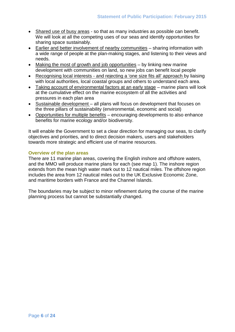- Shared use of busy areas so that as many industries as possible can benefit. We will look at all the competing uses of our seas and identify opportunities for sharing space sustainably.
- Earlier and better involvement of nearby communities sharing information with a wide range of people at the plan-making stages, and listening to their views and needs.
- Making the most of growth and job opportunities by linking new marine development with communities on land, so new jobs can benefit local people
- Recognising local interests and rejecting a 'one size fits all' approach by liaising with local authorities, local coastal groups and others to understand each area.
- Taking account of environmental factors at an early stage marine plans will look at the cumulative effect on the marine ecosystem of all the activities and pressures in each plan area
- Sustainable development all plans will focus on development that focuses on the three pillars of sustainability (environmental, economic and social)
- Opportunities for multiple benefits encouraging developments to also enhance benefits for marine ecology and/or biodiversity.

It will enable the Government to set a clear direction for managing our seas, to clarify objectives and priorities, and to direct decision makers, users and stakeholders towards more strategic and efficient use of marine resources.

## <span id="page-5-0"></span>**Overview of the plan areas**

There are 11 marine plan areas, covering the English inshore and offshore waters, and the MMO will produce marine plans for each (see map 1). The inshore region extends from the mean high water mark out to 12 nautical miles. The offshore region includes the area from 12 nautical miles out to the UK Exclusive Economic Zone, and maritime borders with France and the Channel Islands.

<span id="page-5-1"></span>The boundaries may be subject to minor refinement during the course of the marine planning process but cannot be substantially changed.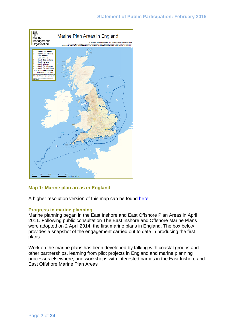

## **Map 1: Marine plan areas in England**

A higher resolution version of this map can be found [here](https://www.gov.uk/government/uploads/system/uploads/attachment_data/file/325688/marine_plan_areas.pdf)

#### <span id="page-6-0"></span>**Progress in marine planning**

Marine planning began in the East Inshore and East Offshore Plan Areas in April 2011. Following public consultation The East Inshore and Offshore Marine Plans were adopted on 2 April 2014, the first marine plans in England. The box below provides a snapshot of the engagement carried out to date in producing the first plans.

Work on the marine plans has been developed by talking with coastal groups and other partnerships, learning from pilot projects in England and marine planning processes elsewhere, and workshops with interested parties in the East Inshore and East Offshore Marine Plan Areas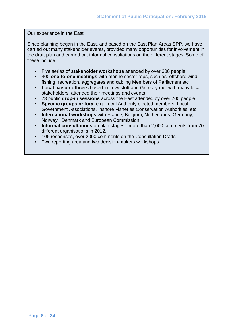Our experience in the East

Since planning began in the East, and based on the East Plan Areas SPP, we have carried out many stakeholder events, provided many opportunities for involvement in the draft plan and carried out informal consultations on the different stages. Some of these include:

- Five series of **stakeholder workshops** attended by over 300 people
- 400 **one-to-one meetings** with marine sector reps, such as, offshore wind, fishing, recreation, aggregates and cabling Members of Parliament etc
- **Local liaison officers** based in Lowestoft and Grimsby met with many local stakeholders, attended their meetings and events
- 23 public **drop-in sessions** across the East attended by over 700 people
- **Specific groups or fora**, e.g. Local Authority elected members, Local Government Associations, Inshore Fisheries Conservation Authorities, etc
- **International workshops** with France, Belgium, Netherlands, Germany, Norway, Denmark and European Commission
- **Informal consultations** on plan stages more than 2,000 comments from 70 different organisations in 2012.
- 106 responses, over 2000 comments on the Consultation Drafts
- Two reporting area and two decision-makers workshops.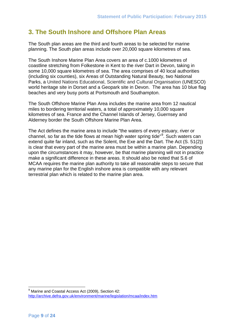# <span id="page-8-0"></span>**3. The South Inshore and Offshore Plan Areas**

The South plan areas are the third and fourth areas to be selected for marine planning. The South plan areas include over 20,000 square kilometres of sea.

The South Inshore Marine Plan Area covers an area of c.1000 kilometres of coastline stretching from Folkestone in Kent to the river Dart in Devon, taking in some 10,000 square kilometres of sea. The area comprises of 40 local authorities (including six counties), six Areas of Outstanding Natural Beauty, two National Parks, a United Nations Educational, Scientific and Cultural Organisation (UNESCO) world heritage site in Dorset and a Geopark site in Devon. The area has 10 blue flag beaches and very busy ports at Portsmouth and Southampton.

The South Offshore Marine Plan Area includes the marine area from 12 nautical miles to bordering territorial waters, a total of approximately 10,000 square kilometres of sea. France and the Channel Islands of Jersey, Guernsey and Alderney border the South Offshore Marine Plan Area.

The Act defines the marine area to include "the waters of every estuary, river or channel, so far as the tide flows at mean high water spring tide"<sup>[9](#page-8-1)</sup>. Such waters can extend quite far inland, such as the Solent, the Exe and the Dart. The Act (S. 51(2)) is clear that every part of the marine area must be within a marine plan. Depending upon the circumstances it may, however, be that marine planning will not in practice make a significant difference in these areas. It should also be noted that S.6 of MCAA requires the marine plan authority to take all reasonable steps to secure that any marine plan for the English inshore area is compatible with any relevant terrestrial plan which is related to the marine plan area.

<span id="page-8-1"></span> $9$  Marine and Coastal Access Act (2009), Section 42: <http://archive.defra.gov.uk/environment/marine/legislation/mcaa/index.htm>  $\overline{a}$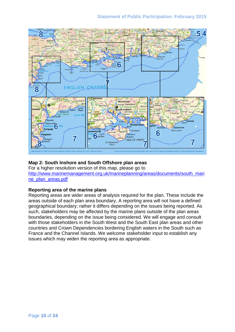## **Statement of Public Participation: February 2015**



#### **Map 2: South Inshore and South Offshore plan areas**

For a higher resolution version of this map, please go to [http://www.marinemanagement.org.uk/marineplanning/areas/documents/south\\_mari](http://www.marinemanagement.org.uk/marineplanning/areas/documents/south_marine_plan_areas.pdf) [ne\\_plan\\_areas.pdf](http://www.marinemanagement.org.uk/marineplanning/areas/documents/south_marine_plan_areas.pdf)

#### **Reporting area of the marine plans**

Reporting areas are wider areas of analysis required for the plan. These include the areas outside of each plan area boundary. A reporting area will not have a defined geographical boundary; rather it differs depending on the issues being reported. As such, stakeholders may be affected by the marine plans outside of the plan areas boundaries, depending on the issue being considered. We will engage and consult with those stakeholders in the South West and the South East plan areas and other countries and Crown Dependencies bordering English waters in the South such as France and the Channel Islands. We welcome stakeholder input to establish any issues which may widen the reporting area as appropriate.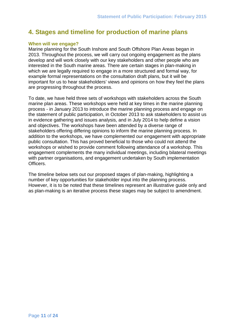# <span id="page-10-0"></span>**4. Stages and timeline for production of marine plans**

#### <span id="page-10-1"></span>**When will we engage?**

Marine planning for the South Inshore and South Offshore Plan Areas began in 2013. Throughout the process, we will carry out ongoing engagement as the plans develop and will work closely with our key stakeholders and other people who are interested in the South marine areas. There are certain stages in plan-making in which we are legally required to engage in a more structured and formal way, for example formal representations on the consultation draft plans, but it will be important for us to hear stakeholders' views and opinions on how they feel the plans are progressing throughout the process.

To date, we have held three sets of workshops with stakeholders across the South marine plan areas. These workshops were held at key times in the marine planning process - in January 2013 to introduce the marine planning process and engage on the statement of public participation, in October 2013 to ask stakeholders to assist us in evidence gathering and issues analysis, and in July 2014 to help define a vision and objectives. The workshops have been attended by a diverse range of stakeholders offering differing opinions to inform the marine planning process. In addition to the workshops, we have complemented our engagement with appropriate public consultation. This has proved beneficial to those who could not attend the workshops or wished to provide comment following attendance of a workshop. This engagement complements the many individual meetings, including bilateral meetings with partner organisations, and engagement undertaken by South implementation Officers.

The timeline below sets out our proposed stages of plan-making, highlighting a number of key opportunities for stakeholder input into the planning process. However, it is to be noted that these timelines represent an illustrative guide only and as plan-making is an iterative process these stages may be subject to amendment.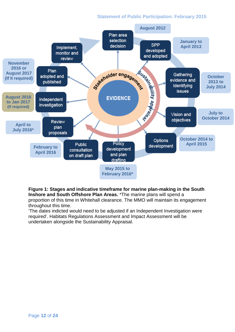## **Statement of Public Participation: February 2015**



**Figure 1: Stages and indicative timeframe for marine plan-making in the South Inshore and South Offshore Plan Areas.** \*The marine plans will spend a proportion of this time in Whitehall clearance. The MMO will maintain its engagement throughout this time.

'The dates indicted would need to be adjusted if an Independent Investigation were required'. Habitats Regulations Assessment and Impact Assessment will be undertaken alongside the Sustainability Appraisal.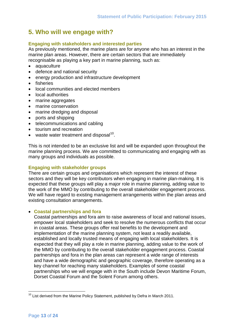# <span id="page-12-0"></span>**5. Who will we engage with?**

#### <span id="page-12-1"></span>**Engaging with stakeholders and interested parties**

As previously mentioned, the marine plans are for anyone who has an interest in the marine plan areas. However, there are certain sectors that are immediately recognisable as playing a key part in marine planning, such as:

- aquaculture
- defence and national security
- energy production and infrastructure development
- fisheries
- local communities and elected members
- local authorities
- marine aggregates
- marine conservation
- marine dredging and disposal
- ports and shipping
- telecommunications and cabling
- tourism and recreation
- waste water treatment and disposal<sup>[10](#page-12-3)</sup>.

This is not intended to be an exclusive list and will be expanded upon throughout the marine planning process. We are committed to communicating and engaging with as many groups and individuals as possible.

#### <span id="page-12-2"></span>**Engaging with stakeholder groups**

There are certain groups and organisations which represent the interest of these sectors and they will be key contributors when engaging in marine plan-making. It is expected that these groups will play a major role in marine planning, adding value to the work of the MMO by contributing to the overall stakeholder engagement process. We will have regard to existing management arrangements within the plan areas and existing consultation arrangements.

#### • **Coastal partnerships and fora**

Coastal partnerships and fora aim to raise awareness of local and national issues, empower local stakeholders and seek to resolve the numerous conflicts that occur in coastal areas. These groups offer real benefits to the development and implementation of the marine planning system, not least a readily available, established and locally trusted means of engaging with local stakeholders. It is expected that they will play a role in marine planning, adding value to the work of the MMO by contributing to the overall stakeholder engagement process. Coastal partnerships and fora in the plan areas can represent a wide range of interests and have a wide demographic and geographic coverage, therefore operating as a key channel for reaching many stakeholders. Examples of some coastal partnerships who we will engage with in the South include Devon Maritime Forum, Dorset Coastal Forum and the Solent Forum among others.

<span id="page-12-3"></span> $10$  List derived from the Marine Policy Statement, published by Defra in March 2011.  $\overline{\phantom{a}}$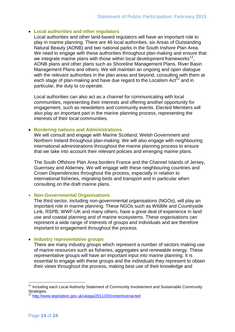#### • **Local authorities and other regulators**

Local authorities and other land-based regulators will have an important role to play in marine planning. There are 46 local authorities, six Areas of Outstanding Natural Beauty (AONB) and two national parks in the South Inshore Plan Area. We need to engage with these authorities throughout plan-making and ensure that we integrate marine plans with those within local development frameworks<sup>11</sup>, AONB plans and other plans such as Shoreline Management Plans, River Basin Management Plans and others. We will maintain an ongoing and open dialogue with the relevant authorities in the plan areas and beyond, consulting with them at each stage of plan-making and have due regard to the Localism  $Act^{12}$  $Act^{12}$  $Act^{12}$  and in particular, the duty to co-operate.

Local authorities can also act as a channel for communicating with local communities, representing their interests and offering another opportunity for engagement, such as newsletters and community events. Elected Members will also play an important part in the marine planning process, representing the interests of their local communities.

#### • **Bordering nations and Administrations**

We will consult and engage with Marine Scotland, Welsh Government and Northern Ireland throughout plan-making. We will also engage with neighbouring international administrations throughout the marine planning process to ensure that we take into account their relevant policies and emerging marine plans.

The South Offshore Plan Area borders France and the Channel Islands of Jersey, Guernsey and Alderney. We will engage with these neighbouring countries and Crown Dependencies throughout the process, especially in relation to international fisheries, migrating birds and transport and in particular when consulting on the draft marine plans.

#### • **Non-Governmental Organisations**

The third sector, including non-governmental organisations (NGOs), will play an important role in marine planning. These NGOs such as Wildlife and Countryside Link, RSPB, WWF-UK and many others, have a great deal of experience in land use and coastal planning and of marine ecosystems. These organisations can represent a wide range of interests of groups and individuals and are therefore important to engagement throughout the process.

#### • **Industry representative groups**

There are many industry groups which represent a number of sectors making use of marine resources such as fisheries, aggregates and renewable energy. These representative groups will have an important input into marine planning. It is essential to engage with these groups and the individuals they represent to obtain their views throughout the process, making best use of their knowledge and

 $\overline{a}$ 

<span id="page-13-0"></span><sup>&</sup>lt;sup>11</sup> Including each Local Authority Statement of Community Involvement and Sustainable Community Strategies.

<span id="page-13-1"></span><sup>12</sup> <http://www.legislation.gov.uk/ukpga/2011/20/contents/enacted>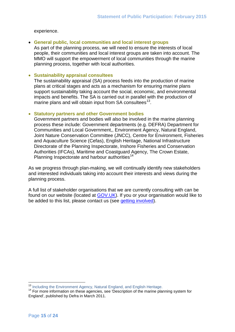#### experience.

#### • **General public, local communities and local interest groups**

As part of the planning process, we will need to ensure the interests of local people, their communities and local interest groups are taken into account. The MMO will support the empowerment of local communities through the marine planning process, together with local authorities.

#### • **Sustainability appraisal consultees**

The sustainability appraisal (SA) process feeds into the production of marine plans at critical stages and acts as a mechanism for ensuring marine plans support sustainability taking account the social, economic, and environmental impacts and benefits. The SA is carried out in parallel with the production of marine plans and will obtain input from  $SA$  consultees<sup>[13](#page-14-0)</sup>.

#### • **Statutory partners and other Government bodies**

Government partners and bodies will also be involved in the marine planning process these include: Government departments (e.g. DEFRA) Department for Communities and Local Government,, Environment Agency, Natural England, Joint Nature Conservation Committee (JNCC), Centre for Environment, Fisheries and Aquaculture Science (Cefas), English Heritage, National Infrastructure Directorate of the Planning Inspectorate, Inshore Fisheries and Conservation Authorities (IFCAs), Maritime and Coastguard Agency, The Crown Estate, Planning Inspectorate and harbour authorities<sup>[14](#page-14-1)</sup>

As we progress through plan-making, we will continually identify new stakeholders and interested individuals taking into account their interests and views during the planning process.

A full list of stakeholder organisations that we are currently consulting with can be found on our website (located at [GOV.UK\)](https://www.gov.uk/government/organisations/marine-management-organisation). If you or your organisation would like to be added to this list, please contact us (see [getting involved\)](#page-3-1).

<sup>&</sup>lt;sup>13</sup> Including the Environment Agency, Natural England, and English Heritage.

<span id="page-14-1"></span><span id="page-14-0"></span><sup>&</sup>lt;sup>14</sup> For more information on these agencies, see 'Description of the marine planning system for England', published by Defra in March 2011.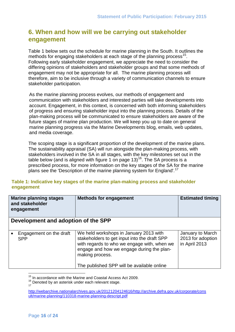# <span id="page-15-0"></span>**6. When and how will we be carrying out stakeholder engagement**

Table 1 below sets out the schedule for marine planning in the South. It outlines the methods for engaging stakeholders at each stage of the planning process<sup>15</sup>. Following early stakeholder engagement, we appreciate the need to consider the differing opinions of stakeholders and stakeholder groups and that some methods of engagement may not be appropriate for all. The marine planning process will therefore, aim to be inclusive through a variety of communication channels to ensure stakeholder participation.

As the marine planning process evolves, our methods of engagement and communication with stakeholders and interested parties will take developments into account. Engagement, in this context, is concerned with both informing stakeholders of progress and ensuring stakeholder input into the planning process. Details of the plan-making process will be communicated to ensure stakeholders are aware of the future stages of marine plan production. We will keep you up to date on general marine planning progress via the Marine Developments blog, emails, web updates, and media coverage.

The scoping stage is a significant proportion of the development of the marine plans. The sustainability appraisal (SA) will run alongside the plan-making process, with stakeholders involved in the SA in all stages, with the key milestones set out in the table below (and is aligned with figure 1 on page 13)<sup>16</sup>. The SA process is a prescribed process, for more information on the key stages of the SA for the marine plans see the 'Description of the marine planning system for England'.<sup>[17](#page-15-3)</sup>

## **Table 1: Indicative key stages of the marine plan-making process and stakeholder engagement**

| <b>Marine planning stages</b><br>and stakeholder<br>engagement | <b>Methods for engagement</b>                                                                                                                                                                         | <b>Estimated timing</b>                                |
|----------------------------------------------------------------|-------------------------------------------------------------------------------------------------------------------------------------------------------------------------------------------------------|--------------------------------------------------------|
| Development and adoption of the SPP                            |                                                                                                                                                                                                       |                                                        |
| Engagement on the draft<br><b>SPP</b>                          | We held workshops in January 2013 with<br>stakeholders to get input into the draft SPP<br>with regards to who we engage with, when we<br>engage and how we engage during the plan-<br>making process. | January to March<br>2013 for adoption<br>in April 2013 |
|                                                                | The published SPP will be available online                                                                                                                                                            |                                                        |

 $15$  In accordance with the Marine and Coastal Access Act 2009.  $\overline{a}$ 

<span id="page-15-2"></span><span id="page-15-1"></span> $\frac{16}{17}$  Denoted by an asterisk under each relevant stage.

<span id="page-15-3"></span>[http://webarchive.nationalarchives.gov.uk/20121204124616/http://archive.defra.gov.uk/corporate/cons](http://webarchive.nationalarchives.gov.uk/20121204124616/http:/archive.defra.gov.uk/corporate/consult/marine-planning/110318-marine-planning-descript.pdf) [ult/marine-planning/110318-marine-planning-descript.pdf](http://webarchive.nationalarchives.gov.uk/20121204124616/http:/archive.defra.gov.uk/corporate/consult/marine-planning/110318-marine-planning-descript.pdf)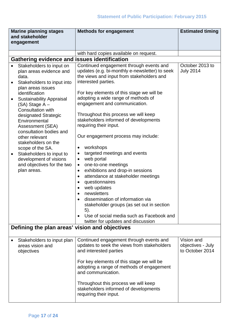| <b>Marine planning stages</b><br>and stakeholder                                                                                                                                                                                                                                                                                                                                                                                                                                                    | <b>Methods for engagement</b>                                                                                                                                                                                                                                                                                                                                                                                                                                                                                                                                                                                                                                                                                                                                                                                                                                                                                              | <b>Estimated timing</b>                            |  |
|-----------------------------------------------------------------------------------------------------------------------------------------------------------------------------------------------------------------------------------------------------------------------------------------------------------------------------------------------------------------------------------------------------------------------------------------------------------------------------------------------------|----------------------------------------------------------------------------------------------------------------------------------------------------------------------------------------------------------------------------------------------------------------------------------------------------------------------------------------------------------------------------------------------------------------------------------------------------------------------------------------------------------------------------------------------------------------------------------------------------------------------------------------------------------------------------------------------------------------------------------------------------------------------------------------------------------------------------------------------------------------------------------------------------------------------------|----------------------------------------------------|--|
| engagement                                                                                                                                                                                                                                                                                                                                                                                                                                                                                          |                                                                                                                                                                                                                                                                                                                                                                                                                                                                                                                                                                                                                                                                                                                                                                                                                                                                                                                            |                                                    |  |
|                                                                                                                                                                                                                                                                                                                                                                                                                                                                                                     | with hard copies available on request.                                                                                                                                                                                                                                                                                                                                                                                                                                                                                                                                                                                                                                                                                                                                                                                                                                                                                     |                                                    |  |
| Gathering evidence and issues identification                                                                                                                                                                                                                                                                                                                                                                                                                                                        |                                                                                                                                                                                                                                                                                                                                                                                                                                                                                                                                                                                                                                                                                                                                                                                                                                                                                                                            |                                                    |  |
| Stakeholders to input on<br>$\bullet$<br>plan areas evidence and<br>data.<br>Stakeholders to input into<br>plan areas issues<br>identification<br><b>Sustainability Appraisal</b><br>(SA) Stage A-<br><b>Consultation with</b><br>designated Strategic<br>Environmental<br>Assessment (SEA)<br>consultation bodies and<br>other relevant<br>stakeholders on the<br>scope of the SA.<br>Stakeholders to input to<br>$\bullet$<br>development of visions<br>and objectives for the two<br>plan areas. | Continued engagement through events and<br>updates (e.g. bi-monthly e-newsletter) to seek<br>the views and input from stakeholders and<br>interested parties.<br>For key elements of this stage we will be<br>adopting a wide range of methods of<br>engagement and communication.<br>Throughout this process we will keep<br>stakeholders informed of developments<br>requiring their input.<br>Our engagement process may include:<br>workshops<br>$\bullet$<br>targeted meetings and events<br>$\bullet$<br>web portal<br>$\bullet$<br>one-to-one meetings<br>$\bullet$<br>exhibitions and drop-in sessions<br>$\bullet$<br>attendance at stakeholder meetings<br>٠<br>questionnaires<br>$\bullet$<br>web updates<br>newsletters<br>$\bullet$<br>dissemination of information via<br>stakeholder groups (as set out in section<br>5).<br>Use of social media such as Facebook and<br>twitter for updates and discussion | October 2013 to<br><b>July 2014</b>                |  |
|                                                                                                                                                                                                                                                                                                                                                                                                                                                                                                     | Defining the plan areas' vision and objectives                                                                                                                                                                                                                                                                                                                                                                                                                                                                                                                                                                                                                                                                                                                                                                                                                                                                             |                                                    |  |
| Stakeholders to input plan<br>areas vision and<br>objectives                                                                                                                                                                                                                                                                                                                                                                                                                                        | Continued engagement through events and<br>updates to seek the views from stakeholders<br>and interested parties<br>For key elements of this stage we will be<br>adopting a range of methods of engagement<br>and communication.<br>Throughout this process we will keep<br>stakeholders informed of developments<br>requiring their input.                                                                                                                                                                                                                                                                                                                                                                                                                                                                                                                                                                                | Vision and<br>objectives - July<br>to October 2014 |  |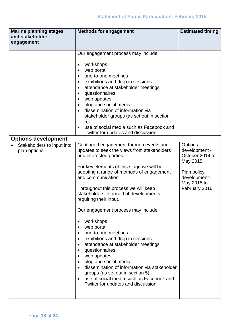| <b>Marine planning stages</b>                                                          | <b>Methods for engagement</b>                                                                                                                                                                                                                                                                                                                                                                                                                                                                                                                                                                                                                                                                                                                                                                                                                                                                                                                                                                                                                                                                                                                                                                                                                                                                                | <b>Estimated timing</b>                                                                                                 |
|----------------------------------------------------------------------------------------|--------------------------------------------------------------------------------------------------------------------------------------------------------------------------------------------------------------------------------------------------------------------------------------------------------------------------------------------------------------------------------------------------------------------------------------------------------------------------------------------------------------------------------------------------------------------------------------------------------------------------------------------------------------------------------------------------------------------------------------------------------------------------------------------------------------------------------------------------------------------------------------------------------------------------------------------------------------------------------------------------------------------------------------------------------------------------------------------------------------------------------------------------------------------------------------------------------------------------------------------------------------------------------------------------------------|-------------------------------------------------------------------------------------------------------------------------|
| and stakeholder                                                                        |                                                                                                                                                                                                                                                                                                                                                                                                                                                                                                                                                                                                                                                                                                                                                                                                                                                                                                                                                                                                                                                                                                                                                                                                                                                                                                              |                                                                                                                         |
|                                                                                        |                                                                                                                                                                                                                                                                                                                                                                                                                                                                                                                                                                                                                                                                                                                                                                                                                                                                                                                                                                                                                                                                                                                                                                                                                                                                                                              |                                                                                                                         |
| engagement<br><b>Options development</b><br>Stakeholders to input into<br>plan options | Our engagement process may include:<br>workshops<br>$\bullet$<br>web portal<br>$\bullet$<br>one-to-one meetings<br>$\bullet$<br>exhibitions and drop in sessions<br>٠<br>attendance at stakeholder meetings<br>$\bullet$<br>questionnaires<br>web updates<br>blog and social media<br>$\bullet$<br>dissemination of information via<br>stakeholder groups (as set out in section<br>$(5)$ .<br>use of social media such as Facebook and<br>Twitter for updates and discussion<br>Continued engagement through events and<br>updates to seek the views from stakeholders<br>and interested parties<br>For key elements of this stage we will be<br>adopting a range of methods of engagement<br>and communication.<br>Throughout this process we will keep<br>stakeholders informed of developments<br>requiring their input.<br>Our engagement process may include:<br>workshops<br>٠<br>web portal<br>$\bullet$<br>one-to-one meetings<br>$\bullet$<br>exhibitions and drop in sessions<br>$\bullet$<br>attendance at stakeholder meetings<br>$\bullet$<br>questionnaires<br>٠<br>web updates<br>$\bullet$<br>blog and social media<br>$\bullet$<br>dissemination of information via stakeholder<br>$\bullet$<br>groups (as set out in section 5).<br>use of social media such as Facebook and<br>$\bullet$ | Options<br>development -<br>October 2014 to<br>May 2015<br>Plan policy<br>development -<br>May 2015 to<br>February 2016 |
|                                                                                        | Twitter for updates and discussion                                                                                                                                                                                                                                                                                                                                                                                                                                                                                                                                                                                                                                                                                                                                                                                                                                                                                                                                                                                                                                                                                                                                                                                                                                                                           |                                                                                                                         |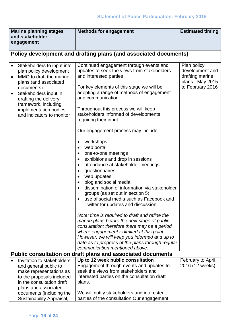| <b>Marine planning stages</b><br>and stakeholder                                                                                                                                                                                                        | <b>Methods for engagement</b>                                                                                                                                                                                                                                                                                                                                                                                                                                                                                                                                                                                                                                                                                                                                                                                                                                                                                                                                                                                                                                                                                                                                             | <b>Estimated timing</b>                                                                   |
|---------------------------------------------------------------------------------------------------------------------------------------------------------------------------------------------------------------------------------------------------------|---------------------------------------------------------------------------------------------------------------------------------------------------------------------------------------------------------------------------------------------------------------------------------------------------------------------------------------------------------------------------------------------------------------------------------------------------------------------------------------------------------------------------------------------------------------------------------------------------------------------------------------------------------------------------------------------------------------------------------------------------------------------------------------------------------------------------------------------------------------------------------------------------------------------------------------------------------------------------------------------------------------------------------------------------------------------------------------------------------------------------------------------------------------------------|-------------------------------------------------------------------------------------------|
| engagement                                                                                                                                                                                                                                              |                                                                                                                                                                                                                                                                                                                                                                                                                                                                                                                                                                                                                                                                                                                                                                                                                                                                                                                                                                                                                                                                                                                                                                           |                                                                                           |
|                                                                                                                                                                                                                                                         | Policy development and drafting plans (and associated documents)                                                                                                                                                                                                                                                                                                                                                                                                                                                                                                                                                                                                                                                                                                                                                                                                                                                                                                                                                                                                                                                                                                          |                                                                                           |
| Stakeholders to input into<br>plan policy development<br>MMO to draft the marine<br>plans (and associated<br>documents)<br>Stakeholders input in<br>drafting the delivery<br>framework, including<br>implementation bodies<br>and indicators to monitor | Continued engagement through events and<br>updates to seek the views from stakeholders<br>and interested parties<br>For key elements of this stage we will be<br>adopting a range of methods of engagement<br>and communication.<br>Throughout this process we will keep<br>stakeholders informed of developments<br>requiring their input.<br>Our engagement process may include:<br>workshops<br>٠<br>web portal<br>$\bullet$<br>one-to-one meetings<br>$\bullet$<br>exhibitions and drop in sessions<br>$\bullet$<br>attendance at stakeholder meetings<br>$\bullet$<br>questionnaires<br>$\bullet$<br>web updates<br>blog and social media<br>$\bullet$<br>dissemination of information via stakeholder<br>groups (as set out in section 5).<br>use of social media such as Facebook and<br>Twitter for updates and discussion<br>Note: time is required to draft and refine the<br>marine plans before the next stage of public<br>consultation; therefore there may be a period<br>where engagement is limited at this point.<br>However, we will keep you informed and up to<br>date as to progress of the plans through regular<br>communication mentioned above. | Plan policy<br>development and<br>drafting marine<br>plans - May 2015<br>to February 2016 |
|                                                                                                                                                                                                                                                         | Public consultation on draft plans and associated documents                                                                                                                                                                                                                                                                                                                                                                                                                                                                                                                                                                                                                                                                                                                                                                                                                                                                                                                                                                                                                                                                                                               |                                                                                           |
| Invitation to stakeholders<br>and general public to<br>make representations as<br>to the proposals included<br>in the consultation draft<br>plans and associated<br>documents (including the                                                            | Up to 12 week public consultation<br>Engagement through events and updates to<br>seek the views from stakeholders and<br>interested parties on the consultation draft<br>plans.<br>We will notify stakeholders and interested                                                                                                                                                                                                                                                                                                                                                                                                                                                                                                                                                                                                                                                                                                                                                                                                                                                                                                                                             | <b>February to April</b><br>2016 (12 weeks)                                               |
| Sustainability Appraisal,                                                                                                                                                                                                                               | parties of the consultation Our engagement                                                                                                                                                                                                                                                                                                                                                                                                                                                                                                                                                                                                                                                                                                                                                                                                                                                                                                                                                                                                                                                                                                                                |                                                                                           |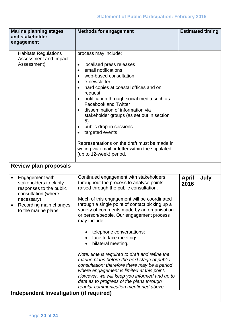| <b>Marine planning stages</b><br>and stakeholder<br>engagement                                                                                                                                         | <b>Methods for engagement</b>                                                                                                                                                                                                                                                                                                                                                                                                                                                                                                                                                                                                                                                                                                                                | <b>Estimated timing</b> |
|--------------------------------------------------------------------------------------------------------------------------------------------------------------------------------------------------------|--------------------------------------------------------------------------------------------------------------------------------------------------------------------------------------------------------------------------------------------------------------------------------------------------------------------------------------------------------------------------------------------------------------------------------------------------------------------------------------------------------------------------------------------------------------------------------------------------------------------------------------------------------------------------------------------------------------------------------------------------------------|-------------------------|
|                                                                                                                                                                                                        |                                                                                                                                                                                                                                                                                                                                                                                                                                                                                                                                                                                                                                                                                                                                                              |                         |
| <b>Habitats Regulations</b><br>Assessment and Impact<br>Assessment).                                                                                                                                   | process may include:<br>localised press releases<br>$\bullet$<br>email notifications<br>web-based consultation<br>e-newsletter<br>hard copies at coastal offices and on<br>request<br>notification through social media such as<br><b>Facebook and Twitter</b><br>dissemination of information via<br>stakeholder groups (as set out in section<br>5).<br>public drop-in sessions<br>targeted events<br>Representations on the draft must be made in<br>writing via email or letter within the stipulated<br>(up to 12-week) period.                                                                                                                                                                                                                         |                         |
| <b>Review plan proposals</b>                                                                                                                                                                           |                                                                                                                                                                                                                                                                                                                                                                                                                                                                                                                                                                                                                                                                                                                                                              |                         |
| Engagement with<br>stakeholders to clarify<br>responses to the public<br>consultation (where<br>necessary)<br>Recording main changes<br>to the marine plans<br>Independent Investigation (if required) | Continued engagement with stakeholders<br>throughout the process to analyse points<br>raised through the public consultation.<br>Much of this engagement will be coordinated<br>through a single point of contact picking up a<br>variety of comments made by an organisation<br>or person/people. Our engagement process<br>may include:<br>telephone conversations;<br>face to face meetings;<br>bilateral meeting.<br>Note: time is required to draft and refine the<br>marine plans before the next stage of public<br>consultation; therefore there may be a period<br>where engagement is limited at this point.<br>However, we will keep you informed and up to<br>date as to progress of the plans through<br>regular communication mentioned above. | April – July<br>2016    |
|                                                                                                                                                                                                        |                                                                                                                                                                                                                                                                                                                                                                                                                                                                                                                                                                                                                                                                                                                                                              |                         |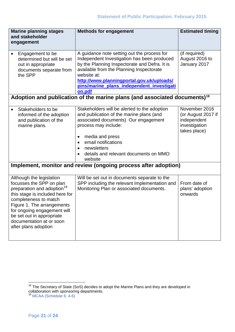| <b>Marine planning stages</b><br>and stakeholder<br>engagement                                                                                                                                                                                                                                           | <b>Methods for engagement</b>                                                                                                                                                                                                                                                                                                                        | <b>Estimated timing</b>                                                             |
|----------------------------------------------------------------------------------------------------------------------------------------------------------------------------------------------------------------------------------------------------------------------------------------------------------|------------------------------------------------------------------------------------------------------------------------------------------------------------------------------------------------------------------------------------------------------------------------------------------------------------------------------------------------------|-------------------------------------------------------------------------------------|
| Engagement to be<br>determined but will be set<br>out in appropriate<br>documents separate from<br>the SPP                                                                                                                                                                                               | A guidance note setting out the process for<br>Independent Investigation has been produced<br>by the Planning Inspectorate and Defra. It is<br>available from the Planning Inspectorate<br>website at:<br>http://www.planningportal.gov.uk/uploads/<br>pins/marine plans independent investigati<br>on.pdf                                           | (if required)<br>August 2016 to<br>January 2017                                     |
|                                                                                                                                                                                                                                                                                                          | Adoption and publication of the marine plans (and associated documents) <sup>18</sup>                                                                                                                                                                                                                                                                |                                                                                     |
| Stakeholders to be<br>informed of the adoption<br>and publication of the<br>marine plans.                                                                                                                                                                                                                | Stakeholders will be alerted to the adoption<br>and publication of the marine plans (and<br>associated documents) Our engagement<br>process may include:<br>media and press<br>$\bullet$<br>email notifications<br>newsletters<br>details and relevant documents on MMO<br>website<br>Implement, monitor and review (ongoing process after adoption) | November 2016<br>(or August 2017 if<br>independent<br>investigation<br>takes place) |
|                                                                                                                                                                                                                                                                                                          |                                                                                                                                                                                                                                                                                                                                                      |                                                                                     |
| Although the legislation<br>focusses the SPP on plan<br>preparation and adoption <sup>19</sup><br>this stage is included here for<br>completeness to match<br>Figure 1. The arrangements<br>for ongoing engagement will<br>be set out in appropriate<br>documentation at or soon<br>after plans adoption | Will be set out in documents separate to the<br>SPP including the relevant Implementation and<br>Monitoring Plan or associated documents.                                                                                                                                                                                                            | From date of<br>plans' adoption<br>onwards                                          |

<span id="page-20-0"></span><sup>&</sup>lt;sup>18</sup> The Secretary of State (SoS) decides to adopt the Marine Plans and they are developed in collaboration with sponsoring departments.  $\overline{a}$ 

<span id="page-20-1"></span><sup>&</sup>lt;sup>19</sup> MCAA (Schedule 6: 4-6)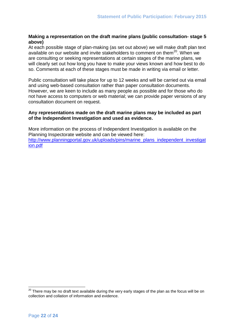### <span id="page-21-0"></span>**Making a representation on the draft marine plans (public consultation- stage 5 above)**

At each possible stage of plan-making (as set out above) we will make draft plan text available on our website and invite stakeholders to comment on them $^{20}$ . When we are consulting or seeking representations at certain stages of the marine plans, we will clearly set out how long you have to make your views known and how best to do so. Comments at each of these stages must be made in writing via email or letter.

Public consultation will take place for up to 12 weeks and will be carried out via email and using web-based consultation rather than paper consultation documents. However, we are keen to include as many people as possible and for those who do not have access to computers or web material; we can provide paper versions of any consultation document on request.

#### **Any representations made on the draft marine plans may be included as part of the Independent Investigation and used as evidence.**

More information on the process of Independent Investigation is available on the Planning Inspectorate website and can be viewed here: [http://www.planningportal.gov.uk/uploads/pins/marine\\_plans\\_independent\\_investigat](http://www.planningportal.gov.uk/uploads/pins/marine_plans_independent_investigation.pdf) [ion.pdf](http://www.planningportal.gov.uk/uploads/pins/marine_plans_independent_investigation.pdf)

<span id="page-21-1"></span> $^{20}$  There may be no draft text available during the very early stages of the plan as the focus will be on collection and collation of information and evidence.  $\overline{a}$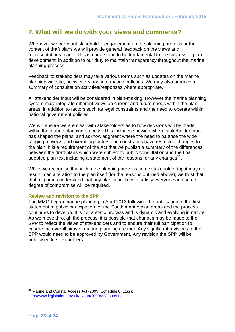# <span id="page-22-0"></span>**7. What will we do with your views and comments?**

Whenever we carry out stakeholder engagement on the planning process or the content of draft plans we will provide general feedback on the views and representations made. This is understood to be fundamental to the success of plan development, in addition to our duty to maintain transparency throughout the marine planning process.

Feedback to stakeholders may take various forms such as updates on the marine planning website, newsletters and information bulletins. We may also produce a summary of consultation activities/responses where appropriate.

All stakeholder input will be considered in plan-making. However the marine planning system must integrate different views on current and future needs within the plan areas, in addition to factors such as legal constraints and the need to operate within national government policies.

We will ensure we are clear with stakeholders as to how decisions will be made within the marine planning process. This includes showing where stakeholder input has shaped the plans, and acknowledgment where the need to balance the wide ranging of views and overriding factors and constraints have restricted changes to the plan. It is a requirement of the Act that we publish a summary of the differences between the draft plans which were subject to public consultation and the final adopted plan text including a statement of the reasons for any changes<sup>[21](#page-22-2)</sup>.

While we recognise that within the planning process some stakeholder input may not result in an alteration to the plan itself (for the reasons outlined above), we trust that that all parties understand that any plan is unlikely to satisfy everyone and some degree of compromise will be required.

#### <span id="page-22-1"></span>**Review and revision to the SPP**

The MMO began marine planning in April 2013 following the publication of the first statement of public participation for the South marine plan areas and the process continues to develop. It is not a static process and is dynamic and evolving in nature. As we move through the process, it is possible that changes may be made to the SPP to reflect the views of stakeholders and to ensure their full participation to ensure the overall aims of marine planning are met. Any significant revisions to the SPP would need to be approved by Government. Any revision the SPP will be publicised to stakeholders.

<span id="page-22-2"></span> $21$ Marine and Coastal Access Act (2009) Schedule 6. 11(2): <http://www.legislation.gov.uk/ukpga/2009/23/contents>  $\overline{a}$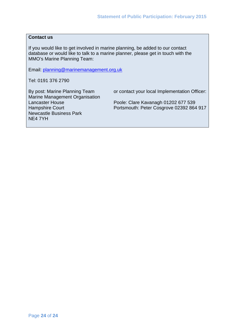## **Contact us**

If you would like to get involved in marine planning, be added to our contact database or would like to talk to a marine planner, please get in touch with the MMO's Marine Planning Team:

Email: [planning@marinemanagement.org.uk](mailto:planning@marinemanagement.org.uk)

Tel: 0191 376 2790

Marine Management Organisation<br>Lancaster House Newcastle Business Park NE4 7YH

By post: Marine Planning Team or contact your local Implementation Officer:

Poole: Clare Kavanagh 01202 677 539 Hampshire Court **Portsmouth: Peter Cosgrove 02392 864 917**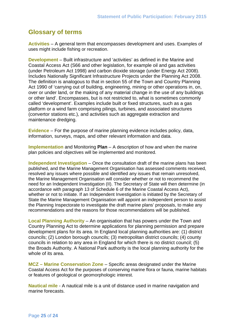# <span id="page-24-0"></span>**Glossary of terms**

**Activities** – A general term that encompasses development and uses. Examples of uses might include fishing or recreation.

**Development** – Built infrastructure and 'activities' as defined in the Marine and Coastal Access Act (S66 and other legislation, for example oil and gas activities (under Petroleum Act 1998) and carbon dioxide storage (under Energy Act 2008). Includes Nationally Significant Infrastructure Projects under the Planning Act 2008. The definition is analogous to that in section 55 of the Town and Country Planning Act 1990 of 'carrying out of building, engineering, mining or other operations in, on, over or under land, or the making of any material change in the use of any buildings or other land'. Encompasses, but is not restricted to, what is sometimes commonly called 'development'. Examples include built or fixed structures, such as a gas platform or a wind farm comprising pilings, turbines, and associated structures (convertor stations etc.), and activities such as aggregate extraction and maintenance dredging.

**Evidence** – For the purpose of marine planning evidence includes policy, data, information, surveys, maps, and other relevant information and data.

**Implementation** and Monitoring **Plan** – A description of how and when the marine plan policies and objectives will be implemented and monitored.

**Independent Investigation** – Once the consultation draft of the marine plans has been published, and the Marine Management Organisation has assessed comments received, resolved any issues where possible and identified any issues that remain unresolved, the Marine Management Organisation will consider whether or not to recommend the need for an Independent Investigation (II). The Secretary of State will then determine (in accordance with paragraph 13 of Schedule 6 of the Marine Coastal Access Act), whether or not to initiate. If an Independent Investigation is initiated by the Secretary of State the Marine Management Organisation will appoint an independent person to assist the Planning Inspectorate to investigate the draft marine plans' proposals, to make any recommendations and the reasons for those recommendations will be published.

**Local Planning Authority** – An organisation that has powers under the Town and Country Planning Act to determine applications for planning permission and prepare development plans for its area. In England local planning authorities are: (1) district councils; (2) London borough councils; (3) metropolitan district councils; (4) county councils in relation to any area in England for which there is no district council; (5) the Broads Authority. A National Park authority is the local planning authority for the whole of its area.

**MCZ – Marine Conservation Zone** – Specific areas designated under the Marine Coastal Access Act for the purposes of conserving marine flora or fauna, marine habitats or features of geological or geomorphologic interest.

**Nautical mile** - A nautical mile is a unit of distance used in marine navigation and marine forecasts.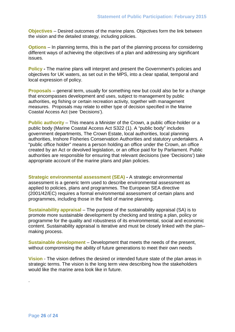**Objectives** – Desired outcomes of the marine plans. Objectives form the link between the vision and the detailed strategy, including policies.

**Options** – In planning terms, this is the part of the planning process for considering different ways of achieving the objectives of a plan and addressing any significant issues.

**Policy -** The marine plans will interpret and present the Government's policies and objectives for UK waters, as set out in the MPS, into a clear spatial, temporal and local expression of policy.

**Proposals** – general term, usually for something new but could also be for a change that encompasses development and uses, subject to management by public authorities, eg fishing or certain recreation activity, together with management measures. Proposals may relate to either type of decision specified in the Marine Coastal Access Act (see 'Decisions').

**Public authority** – This means a Minister of the Crown, a public office-holder or a public body (Marine Coastal Access Act S322 (1). A "public body" includes government departments, The Crown Estate, local authorities, local planning authorities, Inshore Fisheries Conservation Authorities and statutory undertakers. A "public office holder" means a person holding an office under the Crown, an office created by an Act or devolved legislation, or an office paid for by Parliament. Public authorities are responsible for ensuring that relevant decisions (see 'Decisions') take appropriate account of the marine plans and plan policies.

**Strategic environmental assessment (SEA) -** A strategic environmental assessment is a generic term used to describe environmental assessment as applied to policies, plans and programmes. The European SEA directive (2001/42/EC) requires a formal environmental assessment of certain plans and programmes, including those in the field of marine planning.

**Sustainability appraisal** – The purpose of the sustainability appraisal (SA) is to promote more sustainable development by checking and testing a plan, policy or programme for the quality and robustness of its environmental, social and economic content. Sustainability appraisal is iterative and must be closely linked with the plan– making process.

**Sustainable development** – Development that meets the needs of the present, without compromising the ability of future generations to meet their own needs

**Vision** - The vision defines the desired or intended future state of the plan areas in strategic terms. The vision is the long term view describing how the stakeholders would like the marine area look like in future.

.